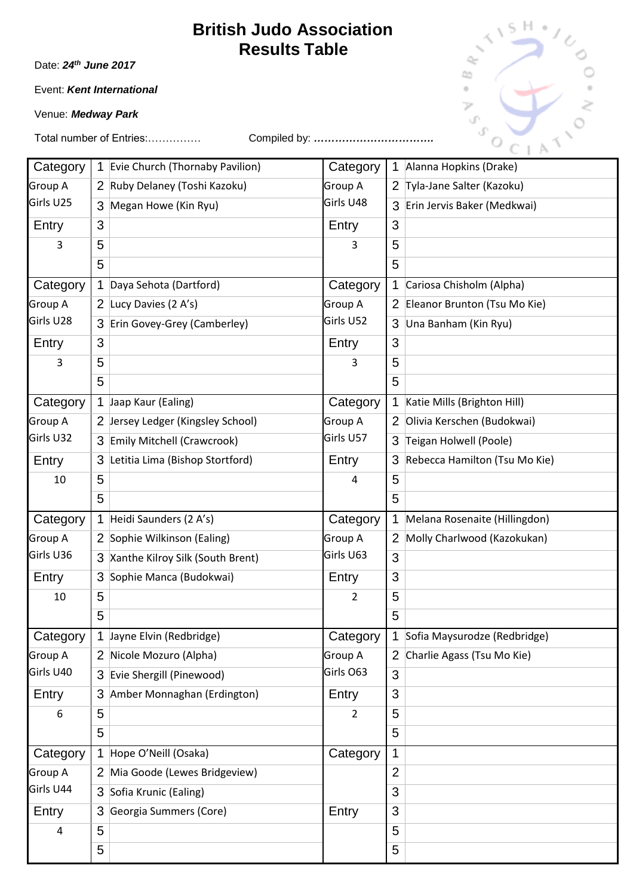Date: *24th June 2017*

Event: *Kent International* 

Venue: *Medway Park*

| Category  | 1              | Evie Church (Thornaby Pavilion)  | Category       | 1 | Alanna Hopkins (Drake)         |
|-----------|----------------|----------------------------------|----------------|---|--------------------------------|
| Group A   | $\mathbf{2}$   | Ruby Delaney (Toshi Kazoku)      | Group A        | 2 | Tyla-Jane Salter (Kazoku)      |
| Girls U25 | 3              | Megan Howe (Kin Ryu)             | Girls U48      | 3 | Erin Jervis Baker (Medkwai)    |
| Entry     | 3              |                                  | Entry          | 3 |                                |
| 3         | 5              |                                  | 3              | 5 |                                |
|           | 5              |                                  |                | 5 |                                |
| Category  | 1              | Daya Sehota (Dartford)           | Category       | 1 | Cariosa Chisholm (Alpha)       |
| Group A   | 2              | Lucy Davies (2 A's)              | Group A        | 2 | Eleanor Brunton (Tsu Mo Kie)   |
| Girls U28 | 3              | Erin Govey-Grey (Camberley)      | Girls U52      | 3 | Una Banham (Kin Ryu)           |
| Entry     | 3              |                                  | Entry          | 3 |                                |
| 3         | 5              |                                  | 3              | 5 |                                |
|           | 5              |                                  |                | 5 |                                |
| Category  | 1              | Jaap Kaur (Ealing)               | Category       |   | Katie Mills (Brighton Hill)    |
| Group A   | 2              | Jersey Ledger (Kingsley School)  | Group A        | 2 | Olivia Kerschen (Budokwai)     |
| Girls U32 | 3              | Emily Mitchell (Crawcrook)       | Girls U57      | 3 | Teigan Holwell (Poole)         |
| Entry     | 3              | Letitia Lima (Bishop Stortford)  | Entry          | 3 | Rebecca Hamilton (Tsu Mo Kie)  |
| 10        | 5              |                                  | 4              | 5 |                                |
|           | 5              |                                  |                | 5 |                                |
| Category  | 1              | Heidi Saunders (2 A's)           | Category       |   | Melana Rosenaite (Hillingdon)  |
| Group A   |                | 2 Sophie Wilkinson (Ealing)      | Group A        | 2 | Molly Charlwood (Kazokukan)    |
| Girls U36 | 3              | Xanthe Kilroy Silk (South Brent) | Girls U63      | 3 |                                |
| Entry     | 3              | Sophie Manca (Budokwai)          | Entry          | 3 |                                |
| 10        | 5              |                                  | 2              | 5 |                                |
|           | 5              |                                  |                | 5 |                                |
| Category  |                | 1 Jayne Elvin (Redbridge)        | Category       |   | 1 Sofia Maysurodze (Redbridge) |
| Group A   |                | 2 Nicole Mozuro (Alpha)          | Group A        | 2 | Charlie Agass (Tsu Mo Kie)     |
| Girls U40 |                | 3 Evie Shergill (Pinewood)       | Girls O63      | 3 |                                |
| Entry     | 3              | Amber Monnaghan (Erdington)      | Entry          | 3 |                                |
| 6         | 5              |                                  | $\overline{2}$ | 5 |                                |
|           | 5              |                                  |                | 5 |                                |
| Category  | 1              | Hope O'Neill (Osaka)             | Category       | 1 |                                |
| Group A   | $\overline{2}$ | Mia Goode (Lewes Bridgeview)     |                | 2 |                                |
| Girls U44 |                | 3 Sofia Krunic (Ealing)          |                | 3 |                                |
| Entry     | 3              | Georgia Summers (Core)           | Entry          | 3 |                                |
| 4         | 5              |                                  |                | 5 |                                |
|           | 5              |                                  |                | 5 |                                |

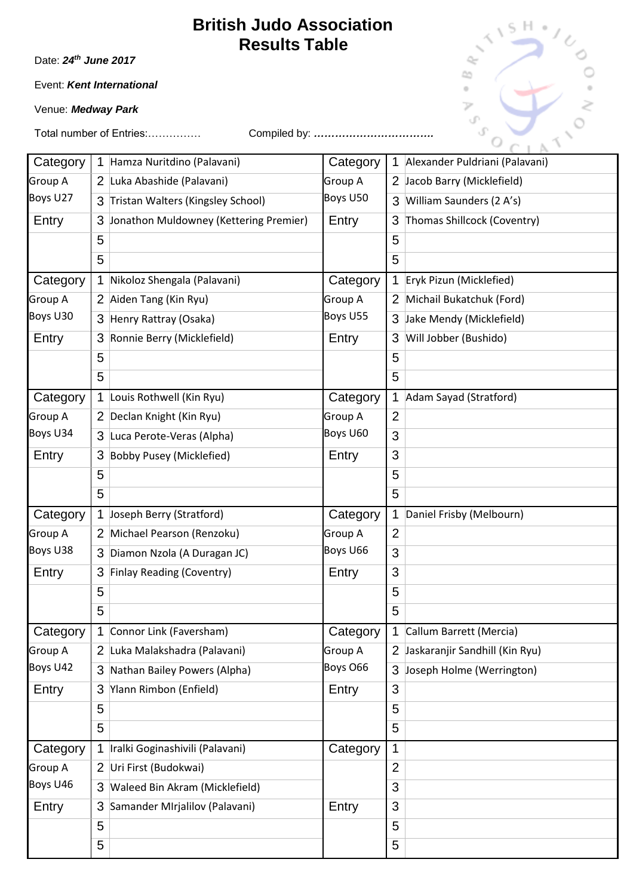Date: *24th June 2017*

Event: *Kent International* 

Venue: *Medway Park*



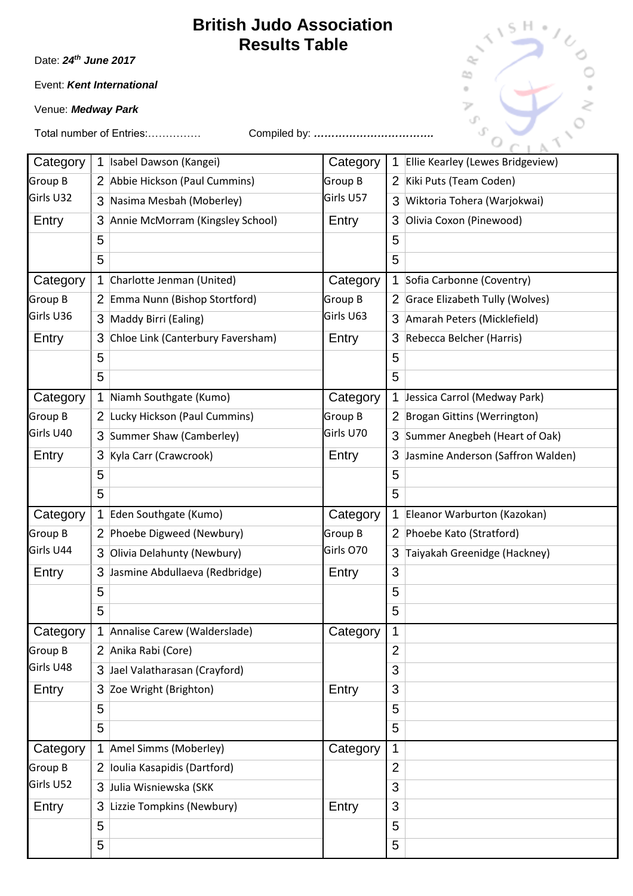Date: *24th June 2017*

Event: *Kent International* 

Venue: *Medway Park*

| Category       | 1                     | Isabel Dawson (Kangei)            | Category  | $\mathbf 1$    | Ellie Kearley (Lewes Bridgeview)  |
|----------------|-----------------------|-----------------------------------|-----------|----------------|-----------------------------------|
| Group B        | $\mathbf{2}^{\prime}$ | Abbie Hickson (Paul Cummins)      | Group B   | 2              | Kiki Puts (Team Coden)            |
| Girls U32      | 3                     | Nasima Mesbah (Moberley)          | Girls U57 | 3              | Wiktoria Tohera (Warjokwai)       |
| Entry          | 3                     | Annie McMorram (Kingsley School)  | Entry     | 3              | Olivia Coxon (Pinewood)           |
|                | 5                     |                                   |           | 5              |                                   |
|                | 5                     |                                   |           | 5              |                                   |
| Category       | 1                     | Charlotte Jenman (United)         | Category  | 1              | Sofia Carbonne (Coventry)         |
| Group B        | $\mathbf{2}$          | Emma Nunn (Bishop Stortford)      | Group B   | 2              | Grace Elizabeth Tully (Wolves)    |
| Girls U36      | 3                     | Maddy Birri (Ealing)              | Girls U63 | 3              | Amarah Peters (Micklefield)       |
| Entry          | 3                     | Chloe Link (Canterbury Faversham) | Entry     | 3              | Rebecca Belcher (Harris)          |
|                | 5                     |                                   |           | 5              |                                   |
|                | 5                     |                                   |           | 5              |                                   |
| Category       | 1                     | Niamh Southgate (Kumo)            | Category  | $\mathbf 1$    | Jessica Carrol (Medway Park)      |
| <b>Group B</b> | $\mathbf{2}^{\prime}$ | Lucky Hickson (Paul Cummins)      | Group B   | $\overline{2}$ | Brogan Gittins (Werrington)       |
| Girls U40      | 3                     | Summer Shaw (Camberley)           | Girls U70 | 3              | Summer Anegbeh (Heart of Oak)     |
| Entry          | 3                     | Kyla Carr (Crawcrook)             | Entry     | 3              | Jasmine Anderson (Saffron Walden) |
|                | 5                     |                                   |           | 5              |                                   |
|                | 5                     |                                   |           | 5              |                                   |
| Category       | $\mathbf 1$           | Eden Southgate (Kumo)             | Category  | 1              | Eleanor Warburton (Kazokan)       |
| Group B        | $\overline{2}$        | Phoebe Digweed (Newbury)          | Group B   | 2              | Phoebe Kato (Stratford)           |
| Girls U44      | 3                     | Olivia Delahunty (Newbury)        | Girls O70 | 3              | Taiyakah Greenidge (Hackney)      |
| Entry          | 3                     | Jasmine Abdullaeva (Redbridge)    | Entry     | 3              |                                   |
|                | 5                     |                                   |           | 5              |                                   |
|                | 5                     |                                   |           | 5              |                                   |
| Category       |                       | 1 Annalise Carew (Walderslade)    | Category  | 1              |                                   |
| <b>Group B</b> | $\mathbf{2}$          | Anika Rabi (Core)                 |           | $\overline{2}$ |                                   |
| Girls U48      | 3                     | Jael Valatharasan (Crayford)      |           | 3              |                                   |
| Entry          | 3                     | Zoe Wright (Brighton)             | Entry     | 3              |                                   |
|                | 5                     |                                   |           | 5              |                                   |
|                | 5                     |                                   |           | 5              |                                   |
| Category       | 1                     | Amel Simms (Moberley)             | Category  | 1              |                                   |
| <b>Group B</b> | 2                     | loulia Kasapidis (Dartford)       |           | $\overline{2}$ |                                   |
| Girls U52      | 3                     | Julia Wisniewska (SKK             |           | 3              |                                   |
| Entry          | 3                     | Lizzie Tompkins (Newbury)         | Entry     | 3              |                                   |
|                | 5                     |                                   |           | 5              |                                   |
|                | 5                     |                                   |           | 5              |                                   |

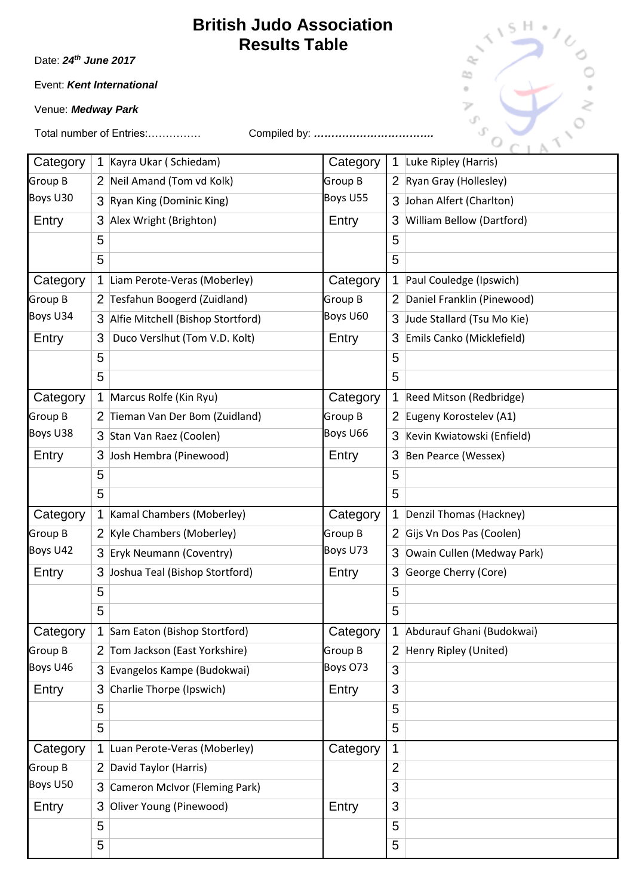Date: *24th June 2017*

Event: *Kent International* 

Venue: *Medway Park*



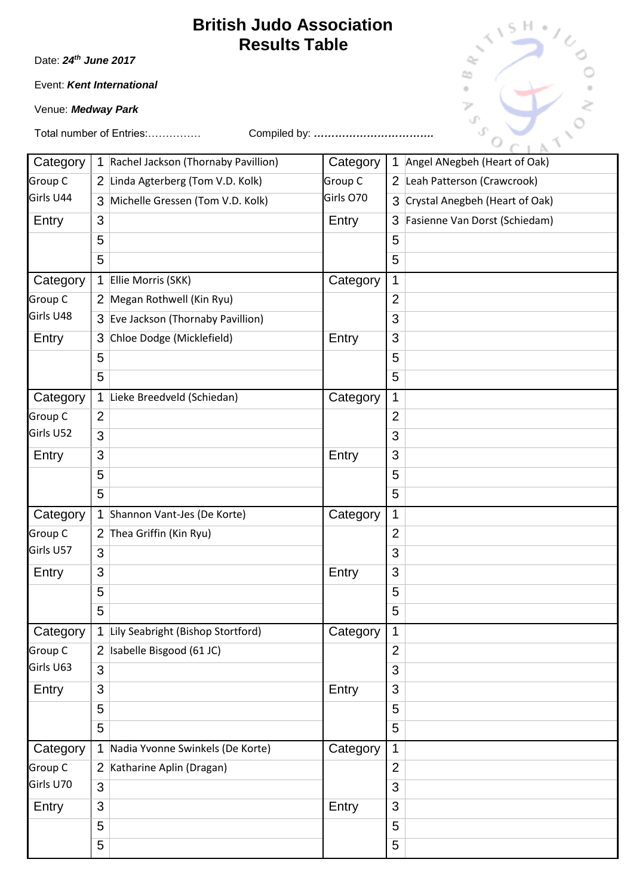Date: *24th June 2017*

Event: *Kent International* 

Venue: *Medway Park*

| Category  |                | 1 Rachel Jackson (Thornaby Pavillion) | Category  | $\mathbf 1$    | Angel ANegbeh (Heart of Oak)   |
|-----------|----------------|---------------------------------------|-----------|----------------|--------------------------------|
| Group C   |                | 2 Linda Agterberg (Tom V.D. Kolk)     | Group C   | 2              | Leah Patterson (Crawcrook)     |
| Girls U44 | 3              | Michelle Gressen (Tom V.D. Kolk)      | Girls O70 | 3              | Crystal Anegbeh (Heart of Oak) |
| Entry     | 3              |                                       | Entry     | 3              | Fasienne Van Dorst (Schiedam)  |
|           | 5              |                                       |           | 5              |                                |
|           | 5              |                                       |           | 5              |                                |
| Category  | $\mathbf 1$    | Ellie Morris (SKK)                    | Category  | 1              |                                |
| Group C   |                | 2 Megan Rothwell (Kin Ryu)            |           | $\overline{2}$ |                                |
| Girls U48 |                | 3 Eve Jackson (Thornaby Pavillion)    |           | 3              |                                |
| Entry     | 3              | Chloe Dodge (Micklefield)             | Entry     | 3              |                                |
|           | 5              |                                       |           | 5              |                                |
|           | 5              |                                       |           | 5              |                                |
| Category  | 1              | Lieke Breedveld (Schiedan)            | Category  | $\mathbf 1$    |                                |
| Group C   | $\overline{2}$ |                                       |           | $\overline{2}$ |                                |
| Girls U52 | 3              |                                       |           | 3              |                                |
| Entry     | 3              |                                       | Entry     | 3              |                                |
|           | 5              |                                       |           | 5              |                                |
|           | 5              |                                       |           | 5              |                                |
| Category  | 1              | Shannon Vant-Jes (De Korte)           | Category  | 1              |                                |
| Group C   | 2              | Thea Griffin (Kin Ryu)                |           | $\overline{2}$ |                                |
| Girls U57 | 3              |                                       |           | 3              |                                |
| Entry     | 3              |                                       | Entry     | 3              |                                |
|           | 5              |                                       |           | 5              |                                |
|           | 5              |                                       |           | 5              |                                |
| Category  |                | 1 Lily Seabright (Bishop Stortford)   | Category  | $\mathbf 1$    |                                |
| Group C   |                | 2 Isabelle Bisgood (61 JC)            |           | $\overline{2}$ |                                |
| Girls U63 | 3              |                                       |           | 3              |                                |
| Entry     | 3              |                                       | Entry     | 3              |                                |
|           | 5              |                                       |           | 5              |                                |
|           | 5              |                                       |           | 5              |                                |
| Category  | $\mathbf 1$    | Nadia Yvonne Swinkels (De Korte)      | Category  | $\mathbf 1$    |                                |
| Group C   |                | 2 Katharine Aplin (Dragan)            |           | $\overline{2}$ |                                |
| Girls U70 | 3              |                                       |           | 3              |                                |
| Entry     | 3              |                                       | Entry     | 3              |                                |
|           | 5              |                                       |           | 5              |                                |
|           | 5              |                                       |           | 5              |                                |